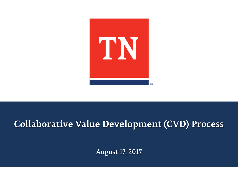

### **Collaborative Value Development (CVD) Process**

August 17, 2017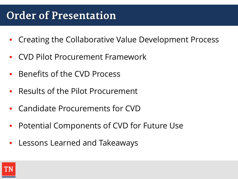# **Order of Presentation**

- Creating the Collaborative Value Development Process
- CVD Pilot Procurement Framework
- Benefits of the CVD Process
- Results of the Pilot Procurement
- Candidate Procurements for CVD
- Potential Components of CVD for Future Use
- Lessons Learned and Takeaways

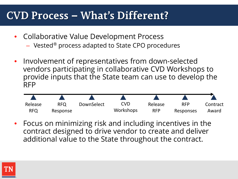## **CVD Process – What's Different?**

- Collaborative Value Development Process
	- Vested® process adapted to State CPO procedures
- Involvement of representatives from down-selected vendors participating in collaborative CVD Workshops to provide inputs that the State team can use to develop the RFP



• Focus on minimizing risk and including incentives in the contract designed to drive vendor to create and deliver additional value to the State throughout the contract.

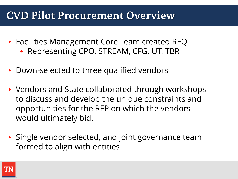## **CVD Pilot Procurement Overview**

- Facilities Management Core Team created RFQ
	- Representing CPO, STREAM, CFG, UT, TBR
- Down-selected to three qualified vendors
- Vendors and State collaborated through workshops to discuss and develop the unique constraints and opportunities for the RFP on which the vendors would ultimately bid.
- Single vendor selected, and joint governance team formed to align with entities

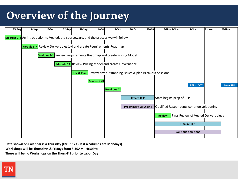# **Overview of the Journey**



**Date shown on Calendar is a Thursday (thru 11/3 - last 4 columns are Mondays) Workshops will be Thursdays & Fridays from 8:30AM - 4:30PM There will be no Workshops on the Thurs-Fri prior to Labor Day**

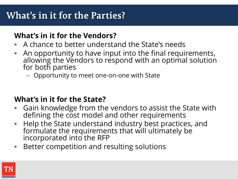## **What's in it for the Parties?**

#### **What's in it for the Vendors?**

- A chance to better understand the State's needs
- An opportunity to have input into the final requirements, allowing the Vendors to respond with an optimal solution for both parties
	- Opportunity to meet one-on-one with State

#### **What's in it for the State?**

- Gain knowledge from the vendors to assist the State with defining the cost model and other requirements
- Help the State understand industry best practices, and formulate the requirements that will ultimately be incorporated into the RFP
- Better competition and resulting solutions

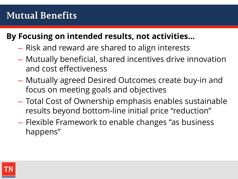### **By Focusing on intended results, not activities…**

- Risk and reward are shared to align interests
- Mutually beneficial, shared incentives drive innovation and cost effectiveness
- Mutually agreed Desired Outcomes create buy-in and focus on meeting goals and objectives
- Total Cost of Ownership emphasis enables sustainable results beyond bottom-line initial price "reduction"
- Flexible Framework to enable changes "as business happens"

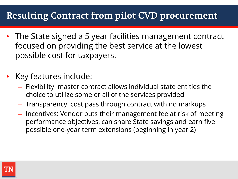## **Resulting Contract from pilot CVD procurement**

- The State signed a 5 year facilities management contract focused on providing the best service at the lowest possible cost for taxpayers.
- Key features include:
	- Flexibility: master contract allows individual state entities the choice to utilize some or all of the services provided
	- Transparency: cost pass through contract with no markups
	- Incentives: Vendor puts their management fee at risk of meeting performance objectives, can share State savings and earn five possible one-year term extensions (beginning in year 2)

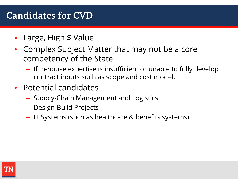### **Candidates for CVD**

- Large, High \$ Value
- Complex Subject Matter that may not be a core competency of the State
	- If in-house expertise is insufficient or unable to fully develop contract inputs such as scope and cost model.
- Potential candidates
	- Supply-Chain Management and Logistics
	- Design-Build Projects
	- IT Systems (such as healthcare & benefits systems)

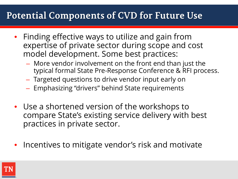### **Potential Components of CVD for Future Use**

- Finding effective ways to utilize and gain from expertise of private sector during scope and cost model development. Some best practices:
	- More vendor involvement on the front end than just the typical formal State Pre-Response Conference & RFI process.
	- Targeted questions to drive vendor input early on
	- Emphasizing "drivers" behind State requirements
- Use a shortened version of the workshops to compare State's existing service delivery with best practices in private sector.
- Incentives to mitigate vendor's risk and motivate

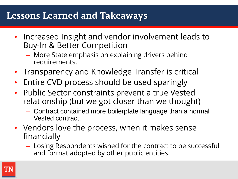### **Lessons Learned and Takeaways**

- Increased Insight and vendor involvement leads to Buy-In & Better Competition
	- More State emphasis on explaining drivers behind requirements.
- Transparency and Knowledge Transfer is critical
- Entire CVD process should be used sparingly
- Public Sector constraints prevent a true Vested relationship (but we got closer than we thought)
	- Contract contained more boilerplate language than a normal Vested contract.
- Vendors love the process, when it makes sense financially
	- Losing Respondents wished for the contract to be successful and format adopted by other public entities.